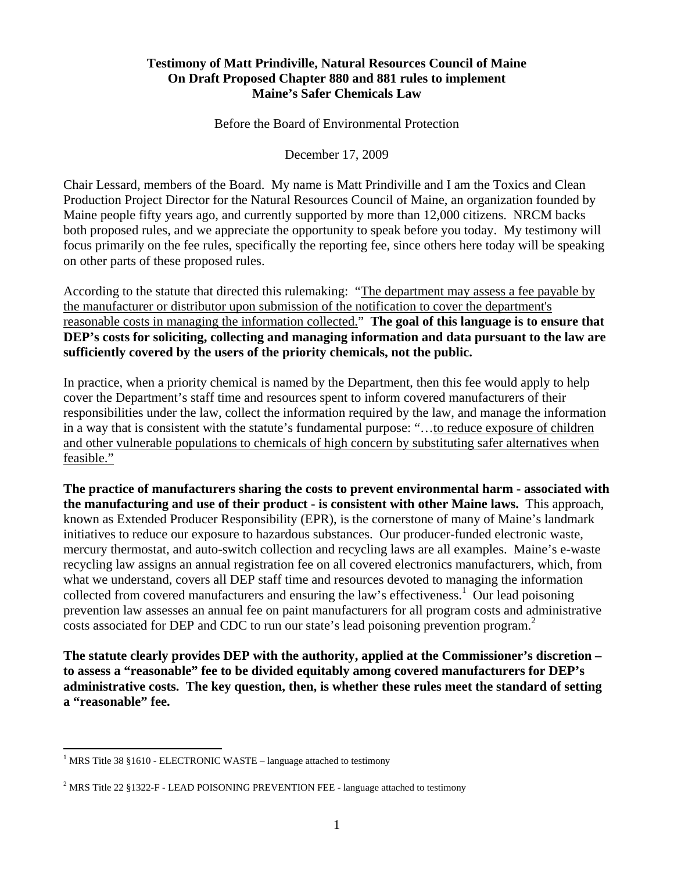# **Testimony of Matt Prindiville, Natural Resources Council of Maine On Draft Proposed Chapter 880 and 881 rules to implement Maine's Safer Chemicals Law**

Before the Board of Environmental Protection

December 17, 2009

Chair Lessard, members of the Board. My name is Matt Prindiville and I am the Toxics and Clean Production Project Director for the Natural Resources Council of Maine, an organization founded by Maine people fifty years ago, and currently supported by more than 12,000 citizens. NRCM backs both proposed rules, and we appreciate the opportunity to speak before you today. My testimony will focus primarily on the fee rules, specifically the reporting fee, since others here today will be speaking on other parts of these proposed rules.

According to the statute that directed this rulemaking: "The department may assess a fee payable by the manufacturer or distributor upon submission of the notification to cover the department's reasonable costs in managing the information collected." **The goal of this language is to ensure that DEP's costs for soliciting, collecting and managing information and data pursuant to the law are sufficiently covered by the users of the priority chemicals, not the public.**

In practice, when a priority chemical is named by the Department, then this fee would apply to help cover the Department's staff time and resources spent to inform covered manufacturers of their responsibilities under the law, collect the information required by the law, and manage the information in a way that is consistent with the statute's fundamental purpose: "...to reduce exposure of children and other vulnerable populations to chemicals of high concern by substituting safer alternatives when feasible."

**The practice of manufacturers sharing the costs to prevent environmental harm - associated with the manufacturing and use of their product - is consistent with other Maine laws.** This approach, known as Extended Producer Responsibility (EPR), is the cornerstone of many of Maine's landmark initiatives to reduce our exposure to hazardous substances. Our producer-funded electronic waste, mercury thermostat, and auto-switch collection and recycling laws are all examples. Maine's e-waste recycling law assigns an annual registration fee on all covered electronics manufacturers, which, from what we understand, covers all DEP staff time and resources devoted to managing the information collected from covered manufacturers and ensuring the law's effectiveness.<sup>1</sup> Our lead poisoning prevention law assesses an annual fee on paint manufacturers for all program costs and administrative costs associated for DEP and CDC to run our state's lead poisoning prevention program.<sup>2</sup>

**The statute clearly provides DEP with the authority, applied at the Commissioner's discretion – to assess a "reasonable" fee to be divided equitably among covered manufacturers for DEP's administrative costs. The key question, then, is whether these rules meet the standard of setting a "reasonable" fee.** 

 1 MRS Title 38 §1610 - ELECTRONIC WASTE – language attached to testimony

<sup>&</sup>lt;sup>2</sup> MRS Title 22 §1322-F - LEAD POISONING PREVENTION FEE - language attached to testimony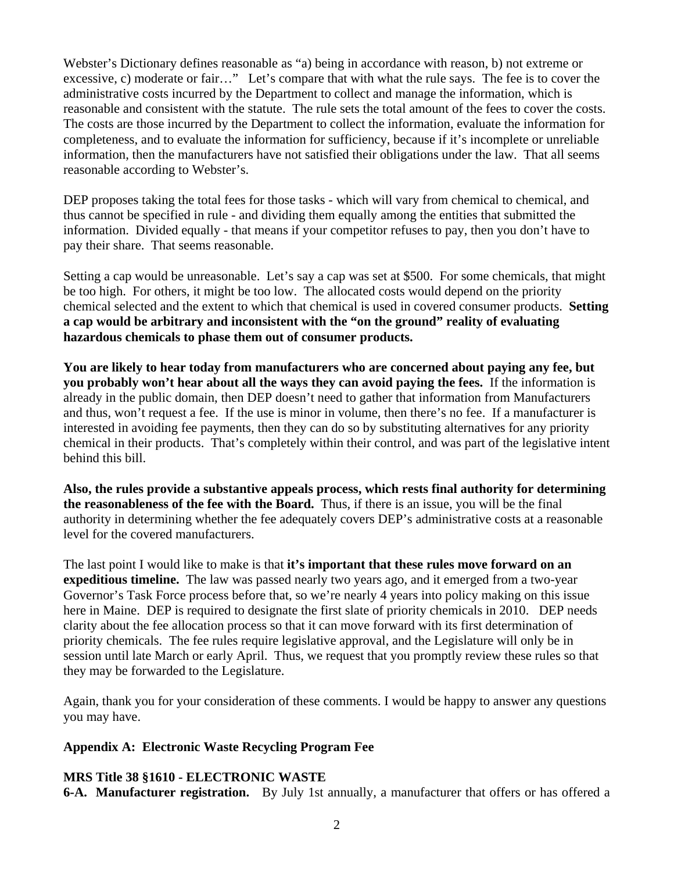Webster's Dictionary defines reasonable as "a) being in accordance with reason, b) not extreme or excessive, c) moderate or fair…" Let's compare that with what the rule says. The fee is to cover the administrative costs incurred by the Department to collect and manage the information, which is reasonable and consistent with the statute. The rule sets the total amount of the fees to cover the costs. The costs are those incurred by the Department to collect the information, evaluate the information for completeness, and to evaluate the information for sufficiency, because if it's incomplete or unreliable information, then the manufacturers have not satisfied their obligations under the law. That all seems reasonable according to Webster's.

DEP proposes taking the total fees for those tasks - which will vary from chemical to chemical, and thus cannot be specified in rule - and dividing them equally among the entities that submitted the information. Divided equally - that means if your competitor refuses to pay, then you don't have to pay their share. That seems reasonable.

Setting a cap would be unreasonable. Let's say a cap was set at \$500. For some chemicals, that might be too high. For others, it might be too low. The allocated costs would depend on the priority chemical selected and the extent to which that chemical is used in covered consumer products. **Setting a cap would be arbitrary and inconsistent with the "on the ground" reality of evaluating hazardous chemicals to phase them out of consumer products.** 

**You are likely to hear today from manufacturers who are concerned about paying any fee, but you probably won't hear about all the ways they can avoid paying the fees.** If the information is already in the public domain, then DEP doesn't need to gather that information from Manufacturers and thus, won't request a fee. If the use is minor in volume, then there's no fee. If a manufacturer is interested in avoiding fee payments, then they can do so by substituting alternatives for any priority chemical in their products. That's completely within their control, and was part of the legislative intent behind this bill.

**Also, the rules provide a substantive appeals process, which rests final authority for determining the reasonableness of the fee with the Board.** Thus, if there is an issue, you will be the final authority in determining whether the fee adequately covers DEP's administrative costs at a reasonable level for the covered manufacturers.

The last point I would like to make is that **it's important that these rules move forward on an expeditious timeline.** The law was passed nearly two years ago, and it emerged from a two-year Governor's Task Force process before that, so we're nearly 4 years into policy making on this issue here in Maine. DEP is required to designate the first slate of priority chemicals in 2010. DEP needs clarity about the fee allocation process so that it can move forward with its first determination of priority chemicals. The fee rules require legislative approval, and the Legislature will only be in session until late March or early April. Thus, we request that you promptly review these rules so that they may be forwarded to the Legislature.

Again, thank you for your consideration of these comments. I would be happy to answer any questions you may have.

### **Appendix A: Electronic Waste Recycling Program Fee**

### **MRS Title 38 §1610 - ELECTRONIC WASTE**

**6-A. Manufacturer registration.** By July 1st annually, a manufacturer that offers or has offered a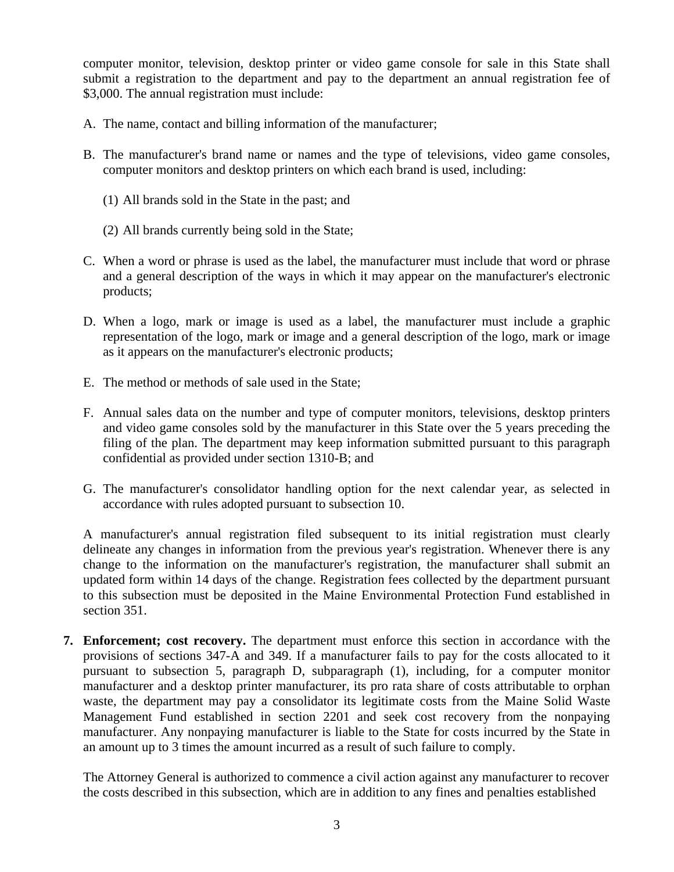computer monitor, television, desktop printer or video game console for sale in this State shall submit a registration to the department and pay to the department an annual registration fee of \$3,000. The annual registration must include:

- A. The name, contact and billing information of the manufacturer;
- B. The manufacturer's brand name or names and the type of televisions, video game consoles, computer monitors and desktop printers on which each brand is used, including:
	- (1) All brands sold in the State in the past; and
	- (2) All brands currently being sold in the State;
- C. When a word or phrase is used as the label, the manufacturer must include that word or phrase and a general description of the ways in which it may appear on the manufacturer's electronic products;
- D. When a logo, mark or image is used as a label, the manufacturer must include a graphic representation of the logo, mark or image and a general description of the logo, mark or image as it appears on the manufacturer's electronic products;
- E. The method or methods of sale used in the State;
- F. Annual sales data on the number and type of computer monitors, televisions, desktop printers and video game consoles sold by the manufacturer in this State over the 5 years preceding the filing of the plan. The department may keep information submitted pursuant to this paragraph confidential as provided under section 1310-B; and
- G. The manufacturer's consolidator handling option for the next calendar year, as selected in accordance with rules adopted pursuant to subsection 10.

A manufacturer's annual registration filed subsequent to its initial registration must clearly delineate any changes in information from the previous year's registration. Whenever there is any change to the information on the manufacturer's registration, the manufacturer shall submit an updated form within 14 days of the change. Registration fees collected by the department pursuant to this subsection must be deposited in the Maine Environmental Protection Fund established in section 351.

**7. Enforcement; cost recovery.** The department must enforce this section in accordance with the provisions of sections 347-A and 349. If a manufacturer fails to pay for the costs allocated to it pursuant to subsection 5, paragraph D, subparagraph (1), including, for a computer monitor manufacturer and a desktop printer manufacturer, its pro rata share of costs attributable to orphan waste, the department may pay a consolidator its legitimate costs from the Maine Solid Waste Management Fund established in section 2201 and seek cost recovery from the nonpaying manufacturer. Any nonpaying manufacturer is liable to the State for costs incurred by the State in an amount up to 3 times the amount incurred as a result of such failure to comply.

The Attorney General is authorized to commence a civil action against any manufacturer to recover the costs described in this subsection, which are in addition to any fines and penalties established